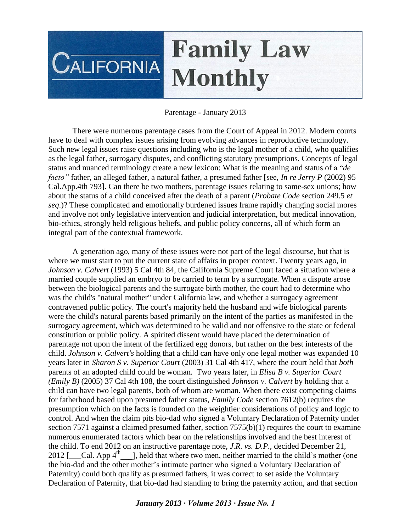# **Family Law**  $C$ ALIFORNIA **Monthly**

Parentage - January 2013

There were numerous parentage cases from the Court of Appeal in 2012. Modern courts have to deal with complex issues arising from evolving advances in reproductive technology. Such new legal issues raise questions including who is the legal mother of a child, who qualifies as the legal father, surrogacy disputes, and conflicting statutory presumptions. Concepts of legal status and nuanced terminology create a new lexicon: What is the meaning and status of a "*de facto"* father, an alleged father, a natural father, a presumed father [see, *In re Jerry P* (2002) 95 Cal.App.4th 793]. Can there be two mothers, parentage issues relating to same-sex unions; how about the status of a child conceived after the death of a parent (*Probate Code* section 249.5 *et seq*.)? These complicated and emotionally burdened issues frame rapidly changing social mores and involve not only legislative intervention and judicial interpretation, but medical innovation, bio-ethics, strongly held religious beliefs, and public policy concerns, all of which form an integral part of the contextual framework.

A generation ago, many of these issues were not part of the legal discourse, but that is where we must start to put the current state of affairs in proper context. Twenty years ago, in *Johnson v. Calvert* (1993) 5 Cal 4th 84, the California Supreme Court faced a situation where a married couple supplied an embryo to be carried to term by a surrogate. When a dispute arose between the biological parents and the surrogate birth mother, the court had to determine who was the child's "natural mother" under California law, and whether a surrogacy agreement contravened public policy. The court's majority held the husband and wife biological parents were the child's natural parents based primarily on the intent of the parties as manifested in the surrogacy agreement, which was determined to be valid and not offensive to the state or federal constitution or public policy. A spirited dissent would have placed the determination of parentage not upon the intent of the fertilized egg donors, but rather on the best interests of the child. *Johnson v. Calvert's* holding that a child can have only one legal mother was expanded 10 years later in *Sharon S v. Superior Court* (2003) 31 Cal 4th 417, where the court held that *both*  parents of an adopted child could be woman. Two years later, in *Elisa B v. Superior Court (Emily B)* (2005) 37 Cal 4th 108, the court distinguished *Johnson v. Calvert* by holding that a child can have two legal parents, both of whom are woman. When there exist competing claims for fatherhood based upon presumed father status, *Family Code* section 7612(b) requires the presumption which on the facts is founded on the weightier considerations of policy and logic to control. And when the claim pits bio-dad who signed a Voluntary Declaration of Paternity under section 7571 against a claimed presumed father, section  $7575(b)(1)$  requires the court to examine numerous enumerated factors which bear on the relationships involved and the best interest of the child. To end 2012 on an instructive parentage note, *J.R. vs. D.P.*, decided December 21, 2012 [ $\Box$ Cal. App 4<sup>th</sup>], held that where two men, neither married to the child's mother (one the bio-dad and the other mother's intimate partner who signed a Voluntary Declaration of Paternity) could both qualify as presumed fathers, it was correct to set aside the Voluntary Declaration of Paternity, that bio-dad had standing to bring the paternity action, and that section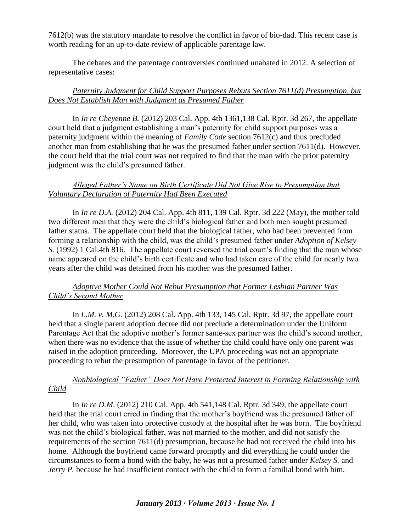7612(b) was the statutory mandate to resolve the conflict in favor of bio-dad. This recent case is worth reading for an up-to-date review of applicable parentage law.

The debates and the parentage controversies continued unabated in 2012. A selection of representative cases:

## *Paternity Judgment for Child Support Purposes Rebuts Section 7611(d) Presumption, but Does Not Establish Man with Judgment as Presumed Father*

In *In re Cheyenne B.* (2012) 203 Cal. App. 4th 1361,138 Cal. Rptr. 3d 267, the appellate court held that a judgment establishing a man's paternity for child support purposes was a paternity judgment within the meaning of *Family Code* section 7612(c) and thus precluded another man from establishing that he was the presumed father under section 7611(d). However, the court held that the trial court was not required to find that the man with the prior paternity judgment was the child's presumed father.

## *Alleged Father's Name on Birth Certificate Did Not Give Rise to Presumption that Voluntary Declaration of Paternity Had Been Executed*

In *In re D.A.* (2012) 204 Cal. App. 4th 811, 139 Cal. Rptr. 3d 222 (May), the mother told two different men that they were the child's biological father and both men sought presumed father status. The appellate court held that the biological father, who had been prevented from forming a relationship with the child, was the child's presumed father under *Adoption of Kelsey S.* (1992) 1 Cal.4th 816. The appellate court reversed the trial court's finding that the man whose name appeared on the child's birth certificate and who had taken care of the child for nearly two years after the child was detained from his mother was the presumed father.

#### *Adoptive Mother Could Not Rebut Presumption that Former Lesbian Partner Was Child's Second Mother*

In *L.M. v. M.G.* (2012) 208 Cal. App. 4th 133, 145 Cal. Rptr. 3d 97, the appellate court held that a single parent adoption decree did not preclude a determination under the Uniform Parentage Act that the adoptive mother's former same-sex partner was the child's second mother, when there was no evidence that the issue of whether the child could have only one parent was raised in the adoption proceeding. Moreover, the UPA proceeding was not an appropriate proceeding to rebut the presumption of parentage in favor of the petitioner.

#### *Nonbiological "Father" Does Not Have Protected Interest in Forming Relationship with Child*

In *In re D.M*. (2012) 210 Cal. App. 4th 541,148 Cal. Rptr. 3d 349, the appellate court held that the trial court erred in finding that the mother's boyfriend was the presumed father of her child, who was taken into protective custody at the hospital after he was born. The boyfriend was not the child's biological father, was not married to the mother, and did not satisfy the requirements of the section 7611(d) presumption, because he had not received the child into his home. Although the boyfriend came forward promptly and did everything he could under the circumstances to form a bond with the baby, he was not a presumed father under *Kelsey S.* and *Jerry P.* because he had insufficient contact with the child to form a familial bond with him.